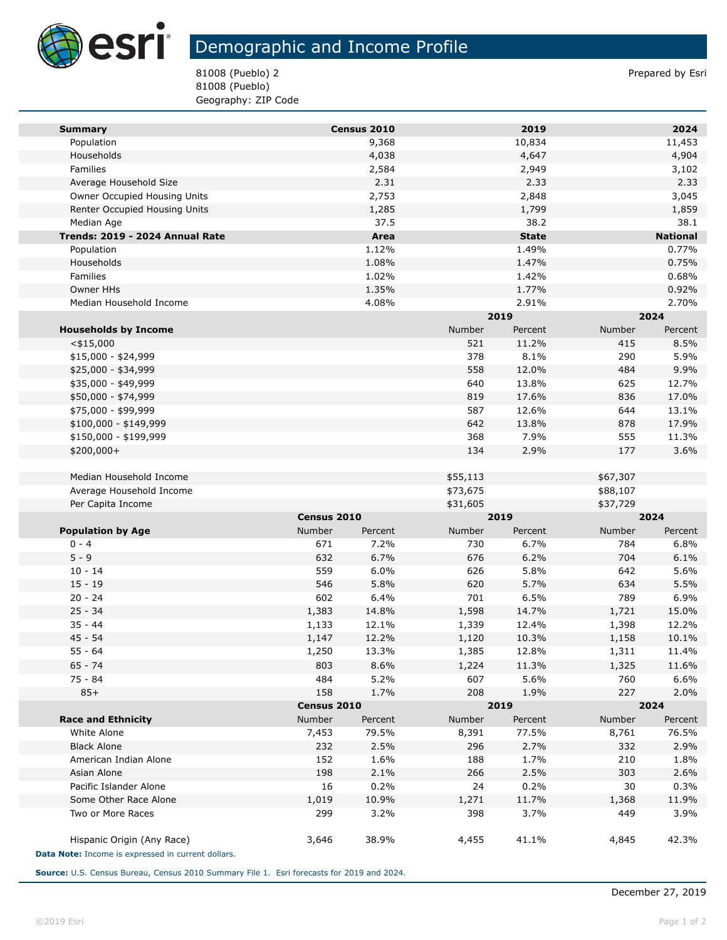

**Tari** 

## Demographic and Income Profile

81008 (Pueblo) 2 Prepared by Esri 81008 (Pueblo) Geography: ZIP Code

| <b>Summary</b>                                                                   |             | Census 2010 |          | 2019         |               | 2024            |  |
|----------------------------------------------------------------------------------|-------------|-------------|----------|--------------|---------------|-----------------|--|
| Population                                                                       |             | 9,368       |          | 10,834       |               | 11,453          |  |
| Households                                                                       |             | 4,038       |          | 4,647        |               | 4,904           |  |
| Families                                                                         |             | 2,584       |          | 2,949        |               | 3,102           |  |
| Average Household Size                                                           |             | 2.31        |          | 2.33         |               | 2.33            |  |
| Owner Occupied Housing Units                                                     |             | 2,753       |          | 2,848        |               | 3,045           |  |
| Renter Occupied Housing Units                                                    |             | 1,285       |          | 1,799        |               | 1,859           |  |
| Median Age                                                                       |             | 37.5        |          | 38.2         |               | 38.1            |  |
| Trends: 2019 - 2024 Annual Rate                                                  |             | Area        |          | <b>State</b> |               | <b>National</b> |  |
| Population                                                                       |             | 1.12%       |          | 1.49%        |               | 0.77%           |  |
| Households                                                                       |             | 1.08%       |          | 1.47%        |               | 0.75%           |  |
| Families                                                                         |             | 1.02%       |          | 1.42%        |               | 0.68%           |  |
| Owner HHs                                                                        |             | 1.35%       |          | 1.77%        |               | 0.92%           |  |
| Median Household Income                                                          |             | 4.08%       |          | 2.91%        |               | 2.70%           |  |
|                                                                                  |             |             | 2019     |              | 2024          |                 |  |
| <b>Households by Income</b>                                                      |             |             | Number   | Percent      | Number        | Percent         |  |
| $<$ \$15,000                                                                     |             |             | 521      | 11.2%        | 415           | 8.5%            |  |
| $$15,000 - $24,999$                                                              |             |             | 378      | 8.1%         | 290           | 5.9%            |  |
| \$25,000 - \$34,999                                                              |             |             | 558      | 12.0%        | 484           | 9.9%            |  |
| \$35,000 - \$49,999                                                              |             |             | 640      | 13.8%        | 625           | 12.7%           |  |
| \$50,000 - \$74,999                                                              |             |             | 819      | 17.6%        | 836           | 17.0%           |  |
| \$75,000 - \$99,999                                                              |             |             | 587      | 12.6%        | 644           | 13.1%           |  |
| \$100,000 - \$149,999                                                            |             |             | 642      | 13.8%        | 878           | 17.9%           |  |
| \$150,000 - \$199,999                                                            |             |             | 368      | 7.9%         | 555           | 11.3%           |  |
| \$200,000+                                                                       |             |             | 134      | 2.9%         | 177           | 3.6%            |  |
|                                                                                  |             |             |          |              |               |                 |  |
| Median Household Income                                                          |             |             | \$55,113 |              | \$67,307      |                 |  |
| Average Household Income                                                         |             |             | \$73,675 |              | \$88,107      |                 |  |
| Per Capita Income                                                                |             |             | \$31,605 |              | \$37,729      |                 |  |
|                                                                                  | Census 2010 |             |          | 2019         |               | 2024            |  |
| <b>Population by Age</b>                                                         | Number      | Percent     | Number   | Percent      | Number        | Percent         |  |
| $0 - 4$                                                                          | 671         | 7.2%        | 730      | 6.7%         | 784           | 6.8%            |  |
| $5 - 9$                                                                          | 632         | 6.7%        | 676      | 6.2%         | 704           | 6.1%            |  |
| $10 - 14$                                                                        | 559         | 6.0%        | 626      | 5.8%         | 642           | 5.6%            |  |
| $15 - 19$                                                                        | 546         | 5.8%        | 620      | 5.7%         | 634           | 5.5%            |  |
| $20 - 24$                                                                        | 602         | 6.4%        | 701      | 6.5%         | 789           | 6.9%            |  |
| $25 - 34$                                                                        | 1,383       | 14.8%       | 1,598    | 14.7%        | 1,721         | 15.0%           |  |
| $35 - 44$                                                                        | 1,133       | 12.1%       | 1,339    | 12.4%        | 1,398         | 12.2%           |  |
| $45 - 54$                                                                        | 1,147       | 12.2%       | 1,120    | 10.3%        | 1,158         | 10.1%           |  |
| $55 - 64$                                                                        | 1,250       | 13.3%       | 1,385    | 12.8%        | 1,311         | 11.4%           |  |
| $65 - 74$                                                                        | 803         | 8.6%        | 1,224    | 11.3%        | 1,325         | 11.6%           |  |
| $75 - 84$                                                                        | 484         | 5.2%        | 607      | 5.6%         | 760           | 6.6%            |  |
| $85+$                                                                            | 158         | 1.7%        | 208      | 1.9%         | 227           | 2.0%            |  |
|                                                                                  |             | Census 2010 |          | 2019         |               | 2024            |  |
| <b>Race and Ethnicity</b>                                                        | Number      | Percent     | Number   | Percent      | <b>Number</b> | Percent         |  |
| White Alone                                                                      | 7,453       | 79.5%       | 8,391    | 77.5%        | 8,761         | 76.5%           |  |
| <b>Black Alone</b>                                                               | 232         | 2.5%        | 296      | 2.7%         | 332           | 2.9%            |  |
| American Indian Alone                                                            | 152         | 1.6%        | 188      | 1.7%         | 210           | 1.8%            |  |
| Asian Alone                                                                      | 198         | 2.1%        | 266      | 2.5%         | 303           | 2.6%            |  |
| Pacific Islander Alone                                                           | 16          | 0.2%        | 24       | 0.2%         | 30            | 0.3%            |  |
| Some Other Race Alone                                                            | 1,019       | 10.9%       | 1,271    | 11.7%        | 1,368         | 11.9%           |  |
| Two or More Races                                                                | 299         | 3.2%        | 398      | 3.7%         | 449           | 3.9%            |  |
| Hispanic Origin (Any Race)<br>Data Note: Income is expressed in current dollars. | 3,646       | 38.9%       | 4,455    | 41.1%        | 4,845         | 42.3%           |  |

**Source:** U.S. Census Bureau, Census 2010 Summary File 1. Esri forecasts for 2019 and 2024.